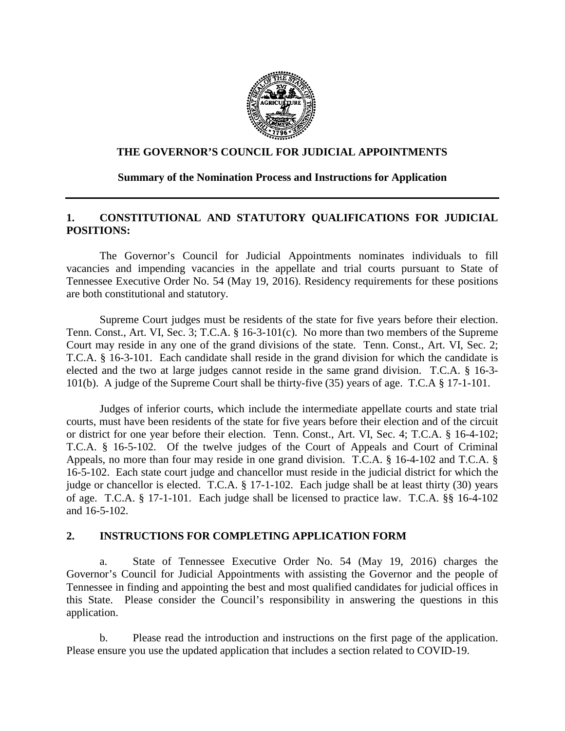

### **THE GOVERNOR'S COUNCIL FOR JUDICIAL APPOINTMENTS**

### **Summary of the Nomination Process and Instructions for Application**

## **1. CONSTITUTIONAL AND STATUTORY QUALIFICATIONS FOR JUDICIAL POSITIONS:**

The Governor's Council for Judicial Appointments nominates individuals to fill vacancies and impending vacancies in the appellate and trial courts pursuant to State of Tennessee Executive Order No. 54 (May 19, 2016). Residency requirements for these positions are both constitutional and statutory.

Supreme Court judges must be residents of the state for five years before their election. Tenn. Const., Art. VI, Sec. 3; T.C.A. § 16-3-101(c). No more than two members of the Supreme Court may reside in any one of the grand divisions of the state. Tenn. Const., Art. VI, Sec. 2; T.C.A. § 16-3-101. Each candidate shall reside in the grand division for which the candidate is elected and the two at large judges cannot reside in the same grand division. T.C.A. § 16-3- 101(b). A judge of the Supreme Court shall be thirty-five (35) years of age. T.C.A § 17-1-101.

Judges of inferior courts, which include the intermediate appellate courts and state trial courts, must have been residents of the state for five years before their election and of the circuit or district for one year before their election. Tenn. Const., Art. VI, Sec. 4; T.C.A. § 16-4-102; T.C.A. § 16-5-102. Of the twelve judges of the Court of Appeals and Court of Criminal Appeals, no more than four may reside in one grand division. T.C.A. § 16-4-102 and T.C.A. § 16-5-102. Each state court judge and chancellor must reside in the judicial district for which the judge or chancellor is elected. T.C.A. § 17-1-102. Each judge shall be at least thirty (30) years of age. T.C.A. § 17-1-101. Each judge shall be licensed to practice law. T.C.A. §§ 16-4-102 and 16-5-102.

#### **2. INSTRUCTIONS FOR COMPLETING APPLICATION FORM**

a. State of Tennessee Executive Order No. 54 (May 19, 2016) charges the Governor's Council for Judicial Appointments with assisting the Governor and the people of Tennessee in finding and appointing the best and most qualified candidates for judicial offices in this State. Please consider the Council's responsibility in answering the questions in this application.

b. Please read the introduction and instructions on the first page of the application. Please ensure you use the updated application that includes a section related to COVID-19.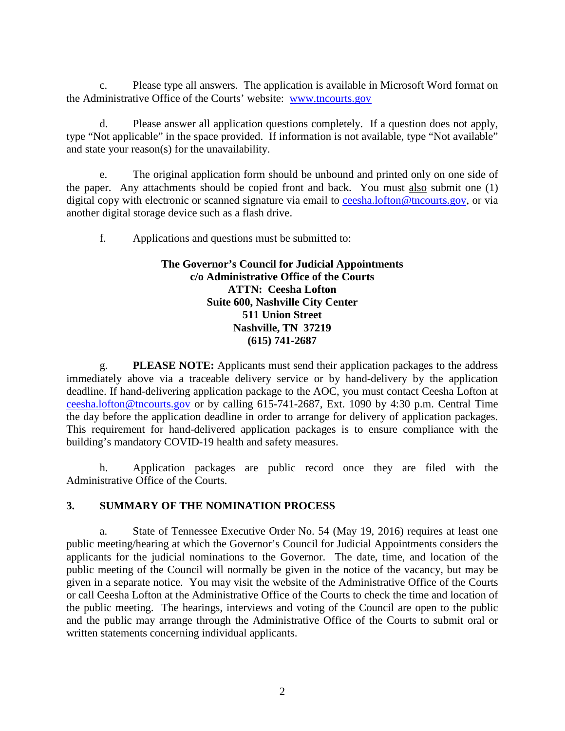c. Please type all answers. The application is available in Microsoft Word format on the Administrative Office of the Courts' website: [www.tncourts.gov](http://www.tncourts.gov/)

d. Please answer all application questions completely. If a question does not apply, type "Not applicable" in the space provided. If information is not available, type "Not available" and state your reason(s) for the unavailability.

e. The original application form should be unbound and printed only on one side of the paper. Any attachments should be copied front and back. You must also submit one (1) digital copy with electronic or scanned signature via email to [ceesha.lofton@tncourts.gov,](mailto:ceesha.lofton@tncourts.gov) or via another digital storage device such as a flash drive.

f. Applications and questions must be submitted to:

## **The Governor's Council for Judicial Appointments c/o Administrative Office of the Courts ATTN: Ceesha Lofton Suite 600, Nashville City Center 511 Union Street Nashville, TN 37219 (615) 741-2687**

g. **PLEASE NOTE:** Applicants must send their application packages to the address immediately above via a traceable delivery service or by hand-delivery by the application deadline. If hand-delivering application package to the AOC, you must contact Ceesha Lofton at [ceesha.lofton@tncourts.gov](mailto:ceesha.lofton@tncourts.gov) or by calling 615-741-2687, Ext. 1090 by 4:30 p.m. Central Time the day before the application deadline in order to arrange for delivery of application packages. This requirement for hand-delivered application packages is to ensure compliance with the building's mandatory COVID-19 health and safety measures.

h. Application packages are public record once they are filed with the Administrative Office of the Courts.

# **3. SUMMARY OF THE NOMINATION PROCESS**

a. State of Tennessee Executive Order No. 54 (May 19, 2016) requires at least one public meeting/hearing at which the Governor's Council for Judicial Appointments considers the applicants for the judicial nominations to the Governor. The date, time, and location of the public meeting of the Council will normally be given in the notice of the vacancy, but may be given in a separate notice. You may visit the website of the Administrative Office of the Courts or call Ceesha Lofton at the Administrative Office of the Courts to check the time and location of the public meeting. The hearings, interviews and voting of the Council are open to the public and the public may arrange through the Administrative Office of the Courts to submit oral or written statements concerning individual applicants.